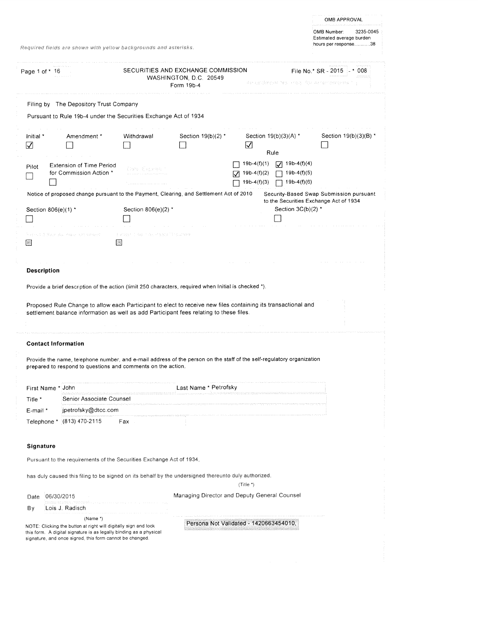|                         | Required fields are shown with yellow backgrounds and asterisks.                                                                                                                                              |                                                      |                                              |               |                                               |                                                          | OMB Number:<br>Estimated average burden<br>hours per response38    | 3235-0045 |
|-------------------------|---------------------------------------------------------------------------------------------------------------------------------------------------------------------------------------------------------------|------------------------------------------------------|----------------------------------------------|---------------|-----------------------------------------------|----------------------------------------------------------|--------------------------------------------------------------------|-----------|
| Page 1 of * 16          |                                                                                                                                                                                                               | SECURITIES AND EXCHANGE COMMISSION                   | WASHINGTON, D.C. 20549<br>Form 19b-4         |               |                                               |                                                          | File No.* SR - 2015 - * 008<br>An archeoir No Han for Angrichments |           |
|                         | Filing by The Depository Trust Company<br>Pursuant to Rule 19b-4 under the Securities Exchange Act of 1934                                                                                                    |                                                      |                                              |               |                                               |                                                          |                                                                    |           |
| Initial *<br>☑          | Amendment *                                                                                                                                                                                                   | Withdrawal                                           | Section 19(b)(2) *                           | $\mathcal{V}$ |                                               | Section 19(b)(3)(A) *<br>Rule                            | Section $19(b)(3)(B)$ *                                            |           |
| Pilot                   | <b>Extension of Time Period</b><br>for Commission Action *<br>Notice of proposed change pursuant to the Payment, Clearing, and Settlement Act of 2010                                                         | (Pate bushees T                                      |                                              |               | 19b-4(f)(1)<br>$19b-4(f)(2)$<br>$19b-4(f)(3)$ | $\sqrt{ }$ 19b-4(f)(4)<br>$19b-4(f)(5)$<br>$19b-4(f)(6)$ | Security-Based Swap Submission pursuant                            |           |
|                         | Section $806(e)(1)$ *                                                                                                                                                                                         | Section 806(e)(2) *                                  |                                              |               |                                               | Section $3C(b)(2)$ *                                     | to the Securities Exchange Act of 1934                             |           |
| $\boxed{0}$             | Format E-Sport As Paper and directly<br>回                                                                                                                                                                     | In a reason of Hay Inn August Michael Tong Servicing |                                              |               |                                               |                                                          |                                                                    |           |
| Description             | Provide a brief description of the action (limit 250 characters, required when Initial is checked *).                                                                                                         |                                                      |                                              |               |                                               |                                                          |                                                                    |           |
|                         | Proposed Rule Change to allow each Participant to elect to receive new files containing its transactional and<br>settlement balance information as well as add Participant fees relating to these files.      |                                                      |                                              |               |                                               |                                                          |                                                                    |           |
|                         | <b>Contact Information</b>                                                                                                                                                                                    |                                                      |                                              |               |                                               |                                                          |                                                                    |           |
|                         | Provide the name, telephone number, and e-mail address of the person on the staff of the self-regulatory organization<br>prepared to respond to questions and comments on the action.                         |                                                      |                                              |               |                                               |                                                          |                                                                    |           |
| First Name * John       |                                                                                                                                                                                                               |                                                      | Last Name * Petrofsky                        |               |                                               |                                                          |                                                                    |           |
| Title *                 | Senior Associate Counsel                                                                                                                                                                                      |                                                      |                                              |               |                                               |                                                          |                                                                    |           |
| E-mail *<br>Telephone * | jpetrofsky@dtcc.com<br>$(813)$ 470-2115                                                                                                                                                                       | Fax                                                  |                                              |               |                                               |                                                          |                                                                    |           |
| Signature               |                                                                                                                                                                                                               |                                                      |                                              |               |                                               |                                                          |                                                                    |           |
|                         | Pursuant to the requirements of the Securities Exchange Act of 1934,                                                                                                                                          |                                                      |                                              |               |                                               |                                                          |                                                                    |           |
|                         | has duly caused this filing to be signed on its behalf by the undersigned thereunto duly authorized.                                                                                                          |                                                      |                                              | $(Title^*)$   |                                               |                                                          |                                                                    |           |
| Date<br>Вy              | 06/30/2015<br>Lois J. Radisch                                                                                                                                                                                 |                                                      | Managing Director and Deputy General Counsel |               |                                               |                                                          |                                                                    |           |
|                         | (Name *)<br>NOTE: Clicking the button at right will digitally sign and lock<br>this form. A digital signature is as legally binding as a physical<br>signature, and once signed, this form cannot be changed. |                                                      | Persona Not Validated - 1420663454010,       |               |                                               |                                                          |                                                                    |           |

0MB APPROVAL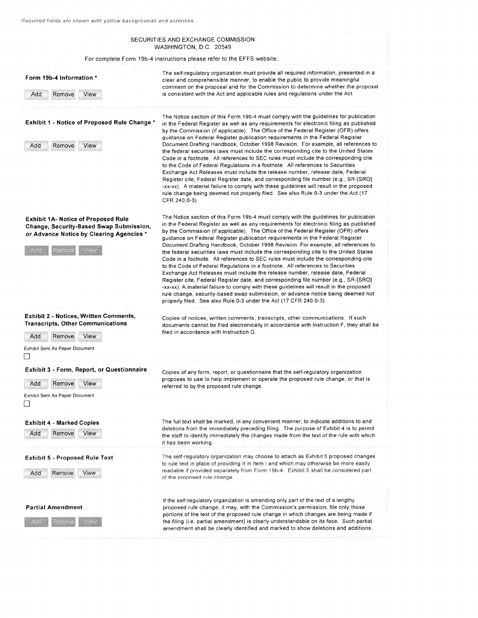#### SECURITIES AND EXCHANGE COMMISSION WASHINGTON, D.C. 20549

For complete Form 1 9b-4 instructions please refer to the EFFS website.

|                                                                                                                                                                | For complete Form 19b-4 instructions please refer to the EFFS website.                                                                                                                                                                                                                                                                                                                                                                                                                                                                                                                                                                                                                                                                                                                                                                                                                                                                                                                                                                                                                                                                 |
|----------------------------------------------------------------------------------------------------------------------------------------------------------------|----------------------------------------------------------------------------------------------------------------------------------------------------------------------------------------------------------------------------------------------------------------------------------------------------------------------------------------------------------------------------------------------------------------------------------------------------------------------------------------------------------------------------------------------------------------------------------------------------------------------------------------------------------------------------------------------------------------------------------------------------------------------------------------------------------------------------------------------------------------------------------------------------------------------------------------------------------------------------------------------------------------------------------------------------------------------------------------------------------------------------------------|
| Form 19b-4 Information *<br>Add<br>Remove<br>View                                                                                                              | The self-regulatory organization must provide all required information, presented in a<br>clear and comprehensible manner, to enable the public to provide meaningful<br>comment on the proposal and for the Commission to determine whether the proposal<br>is consistent with the Act and applicable rules and regulations under the Act.                                                                                                                                                                                                                                                                                                                                                                                                                                                                                                                                                                                                                                                                                                                                                                                            |
| <b>Exhibit 1 - Notice of Proposed Rule Change *</b><br>Add<br>View<br>Remove                                                                                   | The Notice section of this Form 19b-4 must comply with the guidelines for publication<br>in the Federal Register as well as any requirements for electronic filing as published<br>by the Commission (if applicable). The Office of the Federal Register (OFR) offers<br>guidance on Federal Register publication requirements in the Federal Register<br>Document Drafting Handbook, October 1998 Revision. For example, all references to<br>the federal securities laws must include the corresponding cite to the United States<br>Code in a footnote. All references to SEC rules must include the corresponding cite<br>to the Code of Federal Regulations in a footnote. All references to Securities<br>Exchange Act Releases must include the release number, release date, Federal<br>Register cite, Federal Register date, and corresponding file number (e.g., SR-[SRO]<br>-xx-xx). A material failure to comply with these guidelines will result in the proposed<br>rule change being deemed not properly filed. See also Rule 0-3 under the Act (17<br>CFR 240.0-3)                                                     |
| <b>Exhibit 1A- Notice of Proposed Rule</b><br>Change, Security-Based Swap Submission,<br>or Advance Notice by Clearing Agencies *<br><b>Service</b>            | The Notice section of this Form 19b-4 must comply with the guidelines for publication<br>in the Federal Register as well as any requirements for electronic filing as published<br>by the Commission (if applicable). The Office of the Federal Register (OFR) offers<br>guidance on Federal Register publication requirements in the Federal Register<br>Document Drafting Handbook, October 1998 Revision. For example, all references to<br>the federal securities laws must include the corresponding cite to the United States<br>Code in a footnote. All references to SEC rules must include the corresponding cite<br>to the Code of Federal Requisitions in a footnote. All references to Securities<br>Exchange Act Releases must include the release number, release date, Federal<br>Register cite, Federal Register date, and corresponding file number (e.g., SR-[SRO]<br>-xx-xx). A material failure to comply with these guidelines will result in the proposed<br>rule change, security-based swap submission, or advance notice being deemed not<br>properly filed. See also Rule 0-3 under the Act (17 CFR 240.0-3) |
| <b>Exhibit 2 - Notices, Written Comments,</b><br><b>Transcripts, Other Communications</b><br>Remove<br>View<br>Add<br>Exhibit Sent As Paper Document<br>$\Box$ | Copies of notices, written comments, transcripts, other communications. If such<br>documents cannot be filed electronically in accordance with Instruction F, they shall be<br>filed in accordance with Instruction G.                                                                                                                                                                                                                                                                                                                                                                                                                                                                                                                                                                                                                                                                                                                                                                                                                                                                                                                 |
| <b>Exhibit 3 - Form, Report, or Questionnaire</b><br>Remove<br>View<br>Add<br>Exhibit Sent As Paper Document<br>$\overline{\phantom{a}}$                       | Copies of any form, report, or questionnaire that the self-regulatory organization<br>proposes to use to help implement or operate the proposed rule change, or that is<br>referred to by the proposed rule change.                                                                                                                                                                                                                                                                                                                                                                                                                                                                                                                                                                                                                                                                                                                                                                                                                                                                                                                    |
| <b>Exhibit 4 - Marked Copies</b><br>Remove<br>Add<br>View                                                                                                      | The full text shall be marked, in any convenient manner, to indicate additions to and<br>deletions from the immediately preceding filing. The purpose of Exhibit 4 is to permit<br>the staff to identify immediately the changes made from the text of the rule with which<br>it has been working.                                                                                                                                                                                                                                                                                                                                                                                                                                                                                                                                                                                                                                                                                                                                                                                                                                     |
| <b>Exhibit 5 - Proposed Rule Text</b><br>Add<br>Remove<br>View                                                                                                 | The self-regulatory organization may choose to attach as Exhibit 5 proposed changes<br>to rule text in place of providing it in Item I and which may otherwise be more easily<br>readable if provided separately from Form 19b-4. Exhibit 5 shall be considered part<br>of the proposed rule change.                                                                                                                                                                                                                                                                                                                                                                                                                                                                                                                                                                                                                                                                                                                                                                                                                                   |
| <b>Partial Amendment</b>                                                                                                                                       | If the self-regulatory organization is amending only part of the text of a lengthy<br>proposed rule change, it may, with the Commission's permission, file only those<br>portions of the text of the proposed rule change in which changes are being made if<br>the filing (i.e. partial amendment) is clearly understandable on its face. Such partial<br>amendment shall be clearly identified and marked to show deletions and additions.                                                                                                                                                                                                                                                                                                                                                                                                                                                                                                                                                                                                                                                                                           |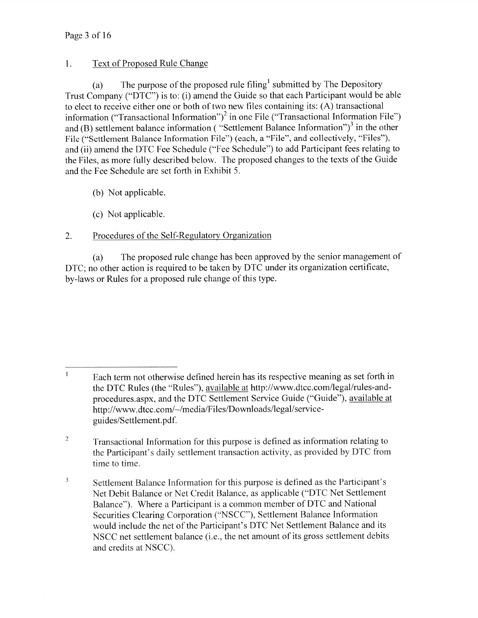# 1. Text of Proposed Rule Change

(a) The purpose of the proposed rule filing<sup>1</sup> submitted by The Depository Trust Company ("DTC") is to: (i) amend the Guide so that each Participant would be able to elect to receive either one or both of two new files containing its: (A) transactional information ("Transactional Information")<sup>2</sup> in one File ("Transactional Information File") and (B) settlement balance information ( "Settlement Balance Information")<sup>3</sup> in the other File ("Settlement Balance Information File") (each, <sup>a</sup> "File", and collectively, "Files"), and (ii) amend the DTC Fee Schedule ("Fee Schedule") to add Participant fees relating to the Files, as more fully' described below. The propose<sup>d</sup> changes to the texts of the Guide and the Fee Schedule are set forth in Exhibit 5.

- (b) Not applicable.
- (c) Not applicable.

# 2. Procedures of the Self-Regulatory Organization

(a) The proposed rule change has been approved by the senior managemen<sup>t</sup> of DTC; no other action is required to be taken by DTC under its organization certificate, by-laws or Rules for <sup>a</sup> proposed rule change of this type.

 $\mathbf{1}$ Each term not otherwise defined herein has its respective meaning as set forth in the DTC Rules (the "Rules"), available at http://www.dtcc.com/legal/rules-and procedures.aspx, and the DTC Settlement Service Guide ("Guide"), available at http://www.dtcc.com/~/media/Files/Downloads/legal/serviceguides/Settlement.pdf.

<sup>&</sup>lt;sup>2</sup> Transactional Information for this purpose is defined as information relating to the Participant's daily settlement transaction activity, as provided by DTC from time to time.

 $\overline{3}$ Settlement Balance Information for this purpose is defined as the Participant's Net Debit Balance or Net Credit Balance, as applicable ("DTC Net Settlement Balance"). Where <sup>a</sup> Participant is <sup>a</sup> common member of DTC and National Securities Clearing Corporation ("NSCC"), Settlement Balance Information would include the net of the Participant's DTC Net Settlement Balance and its NSCC net settlement balance (i.e.. the net amount of its gross settlement debits and credits at NSCC).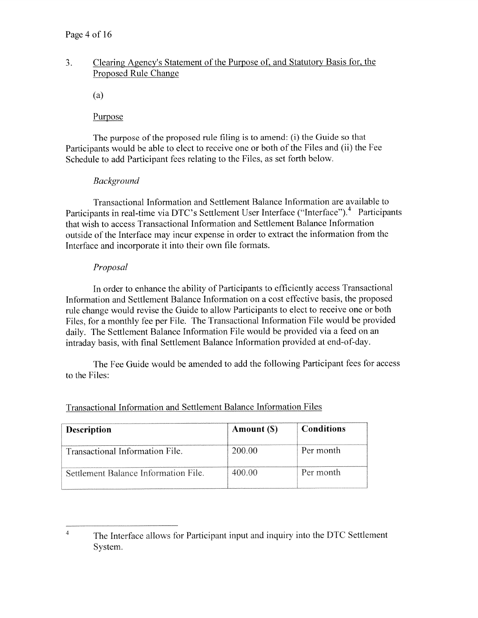# 3. Clearing Agency's Statement of the Purpose of and Statutory Basis for, the Proposed Rule Change

(a)

#### Purpose

The purpose of the propose<sup>d</sup> rule filing is to amend: (i) the Guide so that Participants would be able to elect to receive one or both of the Files and (ii) the Fee Schedule to add Participant fees relating to the Files, as set forth below.

# Background

Transactional Information and Settlement Balance Information are available to Participants in real-time via DTC's Settlement User Interface ("Interface").<sup>4</sup> Participants that wish to access Transactional Information and Settlement Balance Information outside of the Interface may incur expense in order to extract the information from the Interface and incorporate it into their own file formats.

### Proposal

In order to enhance the ability of Participants to efficiently access Transactional Information and Settlement Balance Information on <sup>a</sup> cost effective basis, the proposed rule change would revise the Guide to allow Participants to elect to receive one or both Files, for <sup>a</sup> monthly fee per File. The Transactional Information File would be provided daily. The Settlement Balance Information File would be provided via <sup>a</sup> feed on an intraday basis, with final Settlement Balance Information provided at end-of-day.

The Fee Guide would be amended to add the following Participant fees for access to the Files:

| <b>Description</b>                   | Amount (\$) | <b>Conditions</b> |
|--------------------------------------|-------------|-------------------|
| Transactional Information File.      | 200.00      | Per month         |
| Settlement Balance Information File. | 400.00      | Per month         |

# Transactional Information and Settlement Balance Information Files

 $\ddot{4}$ The Interface allows for Participant input and inquiry into the DTC Settlement System.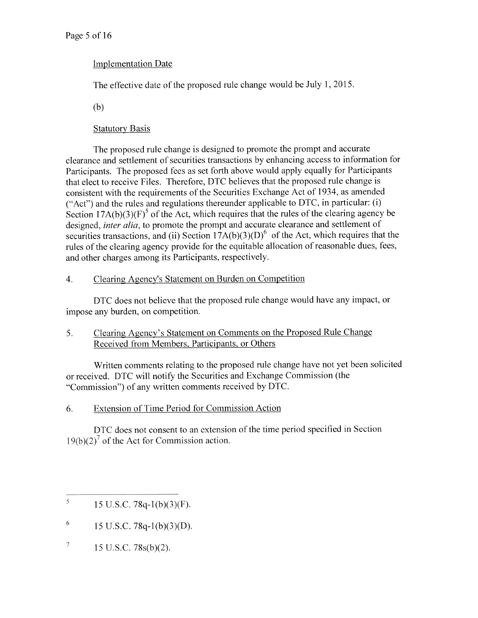# Implementation Date

The effective date of the proposed rule change would be July 1, 2015.

(b)

# Statutory Basis

The propose<sup>d</sup> rule change is designed to promote the promp<sup>t</sup> and accurate clearance and settlement of securities transactions by enhancing access to information for Participants. The propose<sup>d</sup> fees as set forth above would apply equally for Participants that elect to receive Files. Therefore, DTC believes that the proposed rule change is consistent with the requirements of the Securities Exchange Act of 1934, as amended  $("Act")$  and the rules and regulations thereunder applicable to DTC, in particular:  $(i)$ Section  $17A(b)(3)(F)^5$  of the Act, which requires that the rules of the clearing agency be designed, inter alia, to promote the prompt and accurate clearance and settlement of securities transactions, and (ii) Section  $17A(b)(3)(D)^6$  of the Act, which requires that the rules of the clearing agency provide for the equitable allocation of reasonable dues, fees. and other charges among its Participants, respectively.

# 4. Clearing Agency's Statement on Burden on Competition

DTC does not believe that the proposed rule change would have any impact, or impose any burden, on competition.

# 5. Clearing Agency's Statement on Comments on the Proposed Rule Change Received from Members, Participants, or Others

Written comments relating to the propose<sup>d</sup> rule change have not ye<sup>t</sup> been solicited or received. DTC will notify the Securities and Exchange Commission (the "Commission") of any written comments received by DTC.

# 6. Extension of Time Period for Commission Action

DTC does not consent to an extension of the time period specified in Section  $19(b)(2)^7$  of the Act for Commission action.

- $^6$  15 U.S.C. 78q-1(b)(3)(D).
- $\overline{\gamma}$ 15 U.S.C. 78s(b)(2).

 $\,$  5  $\,$ 15 U.S.C. 78q-l(b)(3)(F).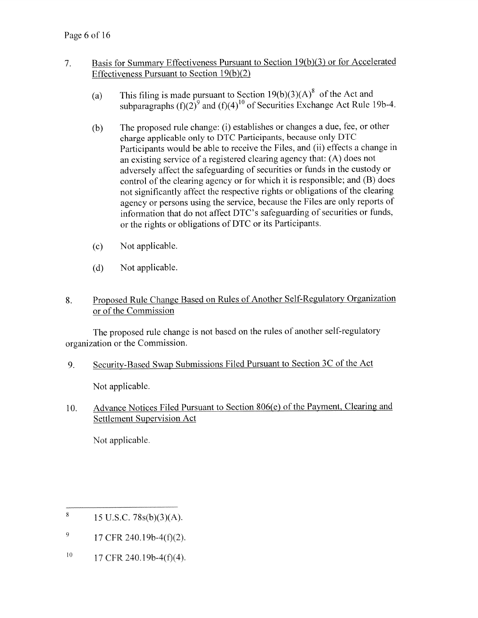# 7. Basis for Summary Effectiveness Pursuant to Section 19(b)(3) or for Accelerated Effectiveness Pursuant to Section 19(b)(2)

- (a) This filing is made pursuant to Section  $19(b)(3)(A)^{\circ}$  of the Act and subparagraphs  $(f)(2)^9$  and  $(f)(4)^{10}$  of Securities Exchange Act Rule 19b-4.
- (b) The propose<sup>d</sup> rule change: (i) establishes or changes <sup>a</sup> due, fee, or other charge applicable only to DTC Participants, because only DTC Participants would be able to receive the Files, and (ii) effects <sup>a</sup> change in an existing service of <sup>a</sup> registered clearing agency that: (A) does not adversely affect the safeguarding of securities or funds in the custody or control of the clearing agency or for which it is responsible; and (B) does not significantly affect the respective rights or obligations of the clearing agency or persons using the service, because the Files are only reports of information that do not affect DTC's safeguarding of securities or funds, or the rights or obligations of DTC or its Participants.
- (c) Not applicable.
- (d) Not applicable.
- 8. Proposed Rule Change Based on Rules of Another Self-Regulatory Organization or of the Commission

The propose<sup>d</sup> rule change is not based on the rules of another self-regulatory organization or the Commission.

9. Security-Based Swap Submissions Filed Pursuant to Section 3C of the Act

Not applicable.

10. Advance Notices Filed Pursuant to Section 806(e) of the Payment, Clearing and Settlement Supervision Act

Not applicable.

 $10$  17 CFR 240.19b-4(f)(4).

 $8$  15 U.S.C. 78s(b)(3)(A).

<sup>9</sup> 17 CFR 240.19b-4(f)(2),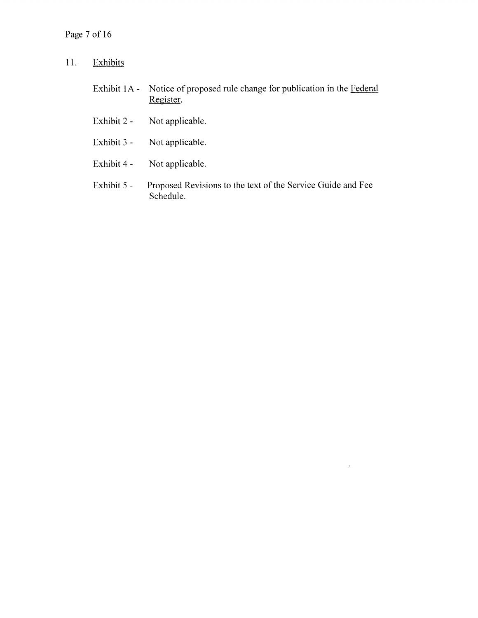# Page 7 of 16

- 11. Exhibits
	- Exhibit 1A -Notice of proposed rule change for publication in the Federal Register.
	- Exhibit 2 Not applicable.
	- Exhibit 3 Not applicable.
	- Exhibit 4 Not applicable.
	- Exhibit 5 Proposed Revisions to the text of the Service Guide and Fee Schedule.

 $\mathcal{S}$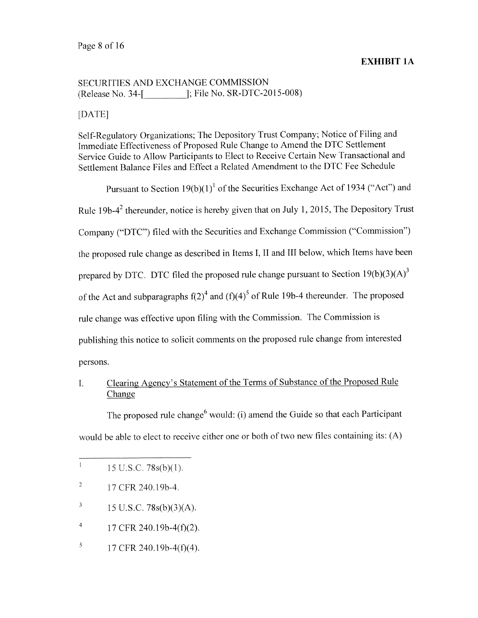#### EXHIBIT 1A

# SECURITIES AND EXCHANGE COMMISSION (Release No. 34-[ 1; File No. SR-DTC-2015-008)

### [DATEJ

Self-Regulatory Organizations; The Depository Trust Company, Notice of Filing and Immediate Effectiveness of Proposed Rule Change to Amend the DTC Settlement Service Guide to Allow Participants to Elect to Receive Certain New Transactional and Settlement Balance Files and Effect <sup>a</sup> Related Amendment to the DTC Fee Schedule

Pursuant to Section  $19(b)(1)^{1}$  of the Securities Exchange Act of 1934 ("Act") and Rule 19b-4<sup>2</sup> thereunder, notice is hereby given that on July 1, 2015, The Depository Trust Company ("DTC") filed with the Securities and Exchange Commission ("Commission") the propose<sup>d</sup> rule change as described in Items I, II and III below, which Items have been prepared by DTC. DTC filed the proposed rule change pursuant to Section  $19(b)(3)(A)^3$ of the Act and subparagraphs  $f(2)^4$  and  $(f)(4)^5$  of Rule 19b-4 thereunder. The proposed rule change was effective upon filing with the Commission. The Commission is publishing this notice to solicit comments on the propose<sup>d</sup> rule change from interested persons.

# I. Clearing Agency's Statement of the Terms of Substance of the Proposed Rule **Change**

The proposed rule change<sup>6</sup> would: (i) amend the Guide so that each Participant would be able to elect to receive either one or both of two new files containing its: (A)

- $\ensuremath{\mathfrak{Z}}$ 15 U.S.C. 78s(b)(3)(A).
- $\overline{4}$ 17 CFR 240.1 9b-4(f)(2).
- $\sqrt{5}$ 17 CFR 240.19b-4 $(f)(4)$ .

 $\mathbf{1}$ 15 U.S.C. 78s(b)(1).

 $^{2}$  17 CFR 240.19b-4.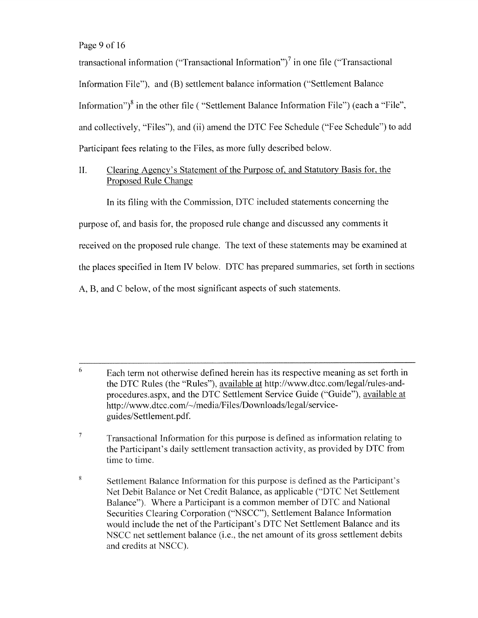Page 9 of 16

transactional information ("Transactional Information")<sup>7</sup> in one file ("Transactional Information File'), and (B) settlement balance information ("Settlement Balance Information")<sup>8</sup> in the other file ( "Settlement Balance Information File") (each a "File", and collectively, "Files"), and (ii) amend the DTC Fee Schedule ("Fee Schedule") to add Participant fees relating to the Files, as more fully described below.

II, Clearing Agency's Statement of the Purpose of, and Statutory Basis for, the Proposed Rule Change

In its filing with the Commission, DTC included statements concerning the purpose of, and basis for, the proposed rule change and discussed any comments it received on the proposed rule change. The text of these statements may be examined at the places specified in Item IV below. DTC has prepared summaries, set forth in sections A, B, and C below, of the most significant aspects of such statements.

 $6$  Each term not otherwise defined herein has its respective meaning as set forth in the DTC Rules (the "Rules"), available at http://www.dtcc.com/legal/rules-andprocedures.aspx, and the DTC Settlement Service Guide ("Guide"), available at http://www.dtcc.com/~/media/Files/Downloads/legal/serviceguides/Settlement.pdf.

 $\boldsymbol{7}$ Transactional Information for this purpose is defined as information relating to the Participant's daily settlement transaction activity, as provided by DTC from time to time.

<sup>&</sup>lt;sup>8</sup> Settlement Balance Information for this purpose is defined as the Participant's Net Debit Balance or Net Credit Balance, as applicable ("DTC Net Settlement Balance"). Where <sup>a</sup> Participant is <sup>a</sup> common member of DTC and National Securities Clearing Corporation ("NSCC"). Settlement Balance Information would include the net of the Participant's DTC Net Settlement Balance and its NSCC net settlement balance (i.e., the net amount of its gross settlement debits and credits at NSCC).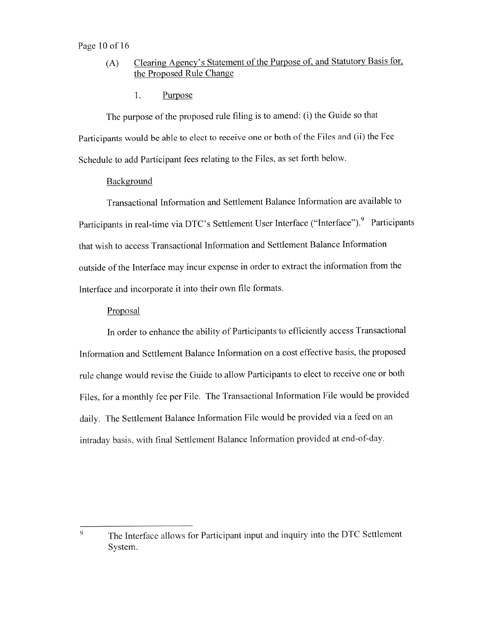#### Page 10 of 16

- (A) Clearing Agency's Statement of the Purpose of, and Statutory Basis for, the Proposed Rule Change
	- 1. Purpose

The purpose of the propose<sup>d</sup> rule filing is to amend: (i) the Guide so that Participants would he able to elect to receive one or both of the Files and (ii) the Fee Schedule to add Participant fees relating to the Files, as set forth below.

#### Background

Transactional Information and Settlement Balance Information are available to Participants in real-time via DTC's Settlement User Interface ("Interface").<sup>9</sup> Participants that wish to access Transactional Information and Settlement Balance Information outside of the Interface may incur expense in order to extract the information from the Interface and incorporate it into their own file formats.

### Proposal

In order to enhance the ability of Participants to efficiently access Transactional Information and Settlement Balance Information on <sup>a</sup> cost effective basis, the proposed rule change would revise the Guide to allow Participants to elect to receive one or both Files, for <sup>a</sup> monthly fee per File. The Transactional Information File would be provided daily. The Settlement Balance Information File would be provided via <sup>a</sup> feed on an intraday basis, with final Settlement Balance Information provided at end-of-day.

<sup>9</sup> The Interface allows for Participant input and inquiry into the DTC Settlement System.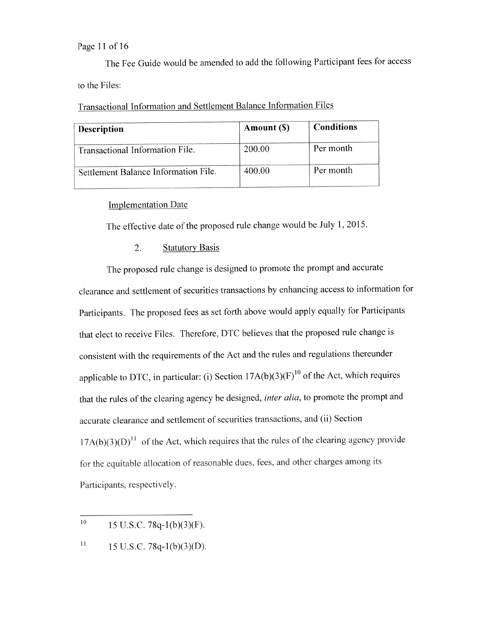Page 11 of 16

The Fee Guide would be amended to add the following Participant fees for access to the Files:

Transactional Information and Settlement Balance Information Files

| <b>Description</b>                   | Amount (\$) | <b>Conditions</b> |  |
|--------------------------------------|-------------|-------------------|--|
| Transactional Information File.      | 200.00      | Per month         |  |
| Settlement Balance Information File. | 400.00      | Per month         |  |

#### Implementation Date

The effective date of the propose<sup>d</sup> rule change would be July 1, 2015.

2. Statutory Basis

The propose<sup>d</sup> rule change is designed to promote the promp<sup>t</sup> and accurate clearance and settlement of securities transactions by enhancing access to information for Participants. The propose<sup>d</sup> fees as set forth above would apply equally for Participants that elect to receive Files. Therefore, DTC believes that the propose<sup>d</sup> rule change is consistent with the requirements of the Act and the rules and regulations thereunder applicable to DTC, in particular: (i) Section  $17A(b)(3)(F)^{10}$  of the Act, which requires that the rules of the clearing agency be designed, inter alia, to promote the prompt and accurate clearance and settlement of securities transactions, and (ii) Section  $17A(b)(3)(D)^{11}$  of the Act, which requires that the rules of the clearing agency provide for the equitable allocation of reasonable dues, fees. and other charges among its Participants. respectively.

 $10\,$ 15 U.S.C. 78q-1(b)(3)(F).

 $\boldsymbol{\Pi}$ 15 U.S.C. 78q-1(b)(3)(D).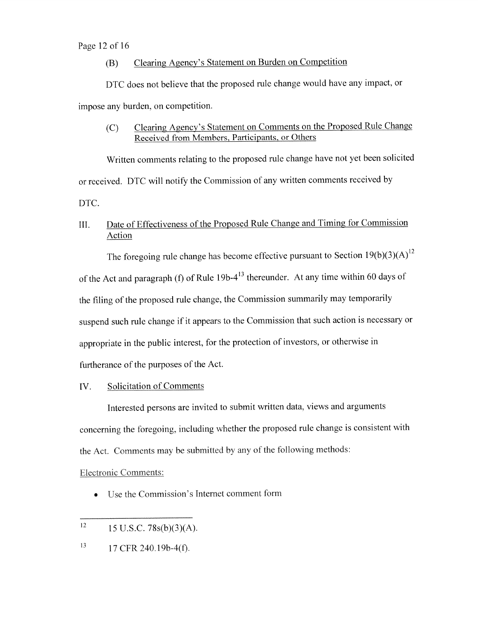#### Page 12 of 16

# (B) Clearing Agency's Statement on Burden on Competition

DTC does not believe that the propose<sup>d</sup> rule change would have any impact, or impose any burden, on competition.

(C) Clearing Agency's Statement on Comments on the Proposed Rule Change Received from Members, Participants, or Others

Written comments relating to the propose<sup>d</sup> rule change have not ye<sup>t</sup> been solicited or received. DTC will notify the Commission of any written comments received by DTC.

# III. Date of Effectiveness of the Proposed Rule Change and Timing for Commission Action

The foregoing rule change has become effective pursuant to Section  $19(b)(3)(A)^{12}$ 

of the Act and paragraph (f) of Rule  $19b-4^{13}$  thereunder. At any time within 60 days of the filing of the propose<sup>d</sup> rule change, the Commission summarily may temporarily suspen<sup>d</sup> such rule change if it appears to the Commission that such action is necessary or appropriate in the public interest, for the protection of investors, or otherwise in furtherance of the purposes of the Act.

#### IV. Solicitation of Comments

Interested persons are invited to submit written data. views and arguments concerning the foregoing, including whether the propose<sup>d</sup> rule change is consistent with the Act. Comments may be submitted by any of the following methods:

#### Electronic Comments:

•Use the Commission's Internet comment form

 $12 \t15$  U.S.C. 78s(b)(3)(A).

<sup>13</sup> 17 CFR 240.19b-4(f).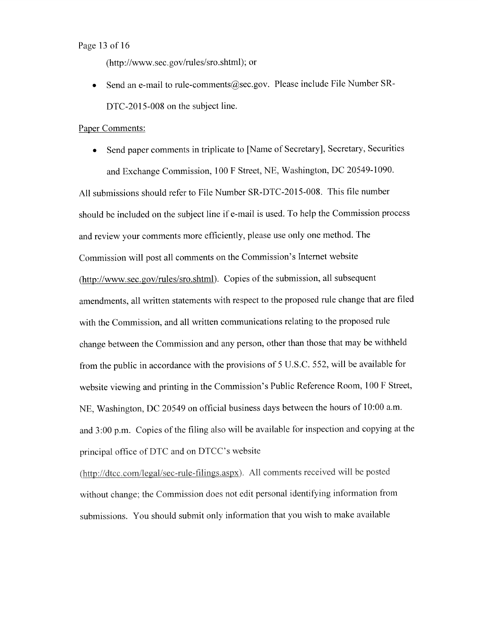#### Page 13 of 16

(http ://www.sec. gov/rules/sro.shtml); or

•Send an e-mail to rule-comments@sec.gov. Please include File Number SR-DTC-2015-008 on the subject line.

#### Paper Comments:

•Send paper comments in triplicate to [Name of Secretary], Secretary, Securities and Exchange Commission, <sup>100</sup> <sup>F</sup> Street, NE, Washington, DC 20549-1090.

All submissions should refer to File Number SR-DTC-2015-008. This file number should be included on the subject line if e-mail is used. To help the Commission process and review your comments more efficiently, <sup>p</sup>lease use only one method. The Commission will pos<sup>t</sup> all comments on the Commission's Internet website (http://www.sec.gov/rules/sro.shtml). Copies of the submission, all subsequent amendments, all written statements with respec<sup>t</sup> to the propose<sup>d</sup> rule change that are filed with the Commission, and all written communications relating to the proposed rule change between the Commission and any person, other than those that may be withheld from the public in accordance with the provisions of <sup>5</sup> U.S.C. 552, will be available for website viewing and printing in the Commission's Public Reference Room, <sup>100</sup> <sup>F</sup> Street, NE, Washington. DC <sup>20549</sup> on official business days between the hours of 10:00 a.m. and 3:00 p.m. Copies of the filing also will be available for inspection and copying at the principal office of DTC and on DTCC's website

(http://dtcc.com/legal/sec-rule-filings.aspx). All comments received will be posted without change; the Commission does not edit persona<sup>l</sup> identifying information from submissions. You should submit only information that you wish to make available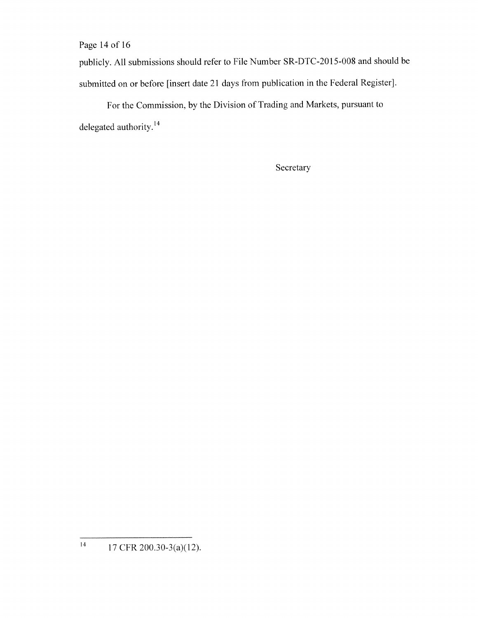Page 14 of 16

publicly. All submissions should refer to File Number SR-DTC-20 15-008 and should be submitted on or before [insert date <sup>21</sup> days from publication in the Federal Register].

For the Commission, by the Division of Trading and Markets, pursuan<sup>t</sup> to delegated authority.<sup>14</sup>

Secretary

 $14$  17 CFR 200.30-3(a)(12).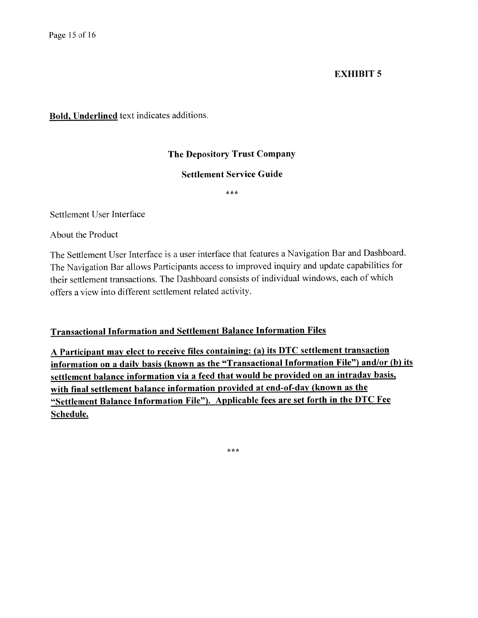# EXHIBIT 5

Bold, Underlined text indicates additions.

#### The Depository Trust Company

#### Settlement Service Guide

\*\*\*

Settlement User Interface

About the Product

The Settlement User Interface is <sup>a</sup> user interface that features <sup>a</sup> Navigation Bar and Dashboard. The Navigation Bar allows Participants access to improved inquiry and update capabilities for their settlement transactions. The Dashboard consists of individual windows, each of which offers <sup>a</sup> view into different settlement related activity.

# Transactional Information and Settlement Balance Information Files

<sup>A</sup> Participant may elect to receive files containing: (a) its DTC settlement transaction information on <sup>a</sup> daily basis (known as the "Transactional Information File") and/or (b) its settlement balance information via <sup>a</sup> feed that would be provided on an intraday basis, with final settlement balance information provided at end-of-day (known as the "Settlement Balance Information File"). Applicable fees are set forth in the DTC Fee Schedule.

يو پو پو